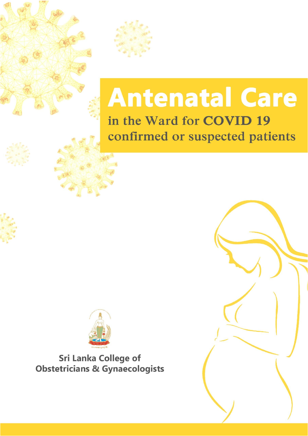

# **Antenatal Care** in the Ward for COVID 19 confirmed or suspected patients



**Sri Lanka College of Obstetricians & Gynaecologists** 

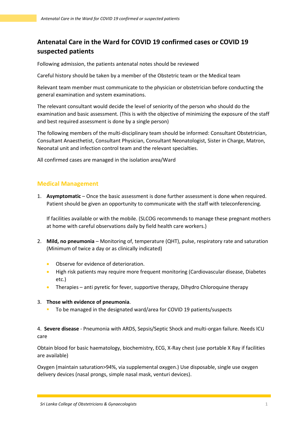# **Antenatal Care in the Ward for COVID 19 confirmed cases or COVID 19 suspected patients**

Following admission, the patients antenatal notes should be reviewed

Careful history should be taken by a member of the Obstetric team or the Medical team

Relevant team member must communicate to the physician or obstetrician before conducting the general examination and system examinations.

The relevant consultant would decide the level of seniority of the person who should do the examination and basic assessment. (This is with the objective of minimizing the exposure of the staff and best required assessment is done by a single person)

The following members of the multi-disciplinary team should be informed: Consultant Obstetrician, Consultant Anaesthetist, Consultant Physician, Consultant Neonatologist, Sister in Charge, Matron, Neonatal unit and infection control team and the relevant specialties.

All confirmed cases are managed in the isolation area/Ward

## **Medical Management**

1. **Asymptomatic** – Once the basic assessment is done further assessment is done when required. Patient should be given an opportunity to communicate with the staff with teleconferencing.

If facilities available or with the mobile. (SLCOG recommends to manage these pregnant mothers at home with careful observations daily by field health care workers.)

- 2. **Mild, no pneumonia** Monitoring of, temperature (QHT), pulse, respiratory rate and saturation (Minimum of twice a day or as clinically indicated)
	- **•** Observe for evidence of deterioration.
	- High risk patients may require more frequent monitoring (Cardiovascular disease, Diabetes etc.)
	- Therapies anti pyretic for fever, supportive therapy, Dihydro Chloroquine therapy

#### 3. **Those with evidence of pneumonia**.

To be managed in the designated ward/area for COVID 19 patients/suspects

4. **Severe disease** - Pneumonia with ARDS, Sepsis/Septic Shock and multi-organ failure. Needs ICU care

Obtain blood for basic haematology, biochemistry, ECG, X-Ray chest (use portable X Ray if facilities are available)

Oxygen (maintain saturation>94%, via supplemental oxygen.) Use disposable, single use oxygen delivery devices (nasal prongs, simple nasal mask, venturi devices).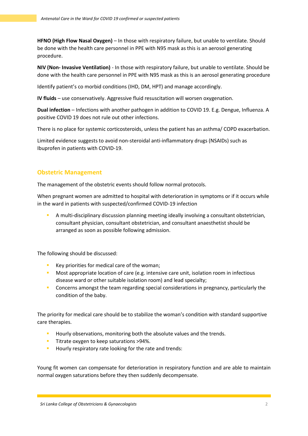**HFNO (High Flow Nasal Oxygen)** – In those with respiratory failure, but unable to ventilate. Should be done with the health care personnel in PPE with N95 mask as this is an aerosol generating procedure.

**NIV (Non- Invasive Ventilation)** - In those with respiratory failure, but unable to ventilate. Should be done with the health care personnel in PPE with N95 mask as this is an aerosol generating procedure

Identify patient's co morbid conditions (IHD, DM, HPT) and manage accordingly.

**IV fluids** – use conservatively. Aggressive fluid resuscitation will worsen oxygenation.

**Dual infection** – Infections with another pathogen in addition to COVID 19. E.g. Dengue, Influenza. A positive COVID 19 does not rule out other infections.

There is no place for systemic corticosteroids, unless the patient has an asthma/ COPD exacerbation.

Limited evidence suggests to avoid non-steroidal anti-inflammatory drugs (NSAIDs) such as Ibuprofen in patients with COVID-19.

#### **Obstetric Management**

The management of the obstetric events should follow normal protocols.

When pregnant women are admitted to hospital with deterioration in symptoms or if it occurs while in the ward in patients with suspected/confirmed COVID-19 infection

 A multi-disciplinary discussion planning meeting ideally involving a consultant obstetrician, consultant physician, consultant obstetrician, and consultant anaesthetist should be arranged as soon as possible following admission.

The following should be discussed:

- Key priorities for medical care of the woman;
- **Most appropriate location of care (e.g. intensive care unit, isolation room in infectious** disease ward or other suitable isolation room) and lead specialty;
- Concerns amongst the team regarding special considerations in pregnancy, particularly the condition of the baby.

The priority for medical care should be to stabilize the woman's condition with standard supportive care therapies.

- **Hourly observations, monitoring both the absolute values and the trends.**
- **Titrate oxygen to keep saturations >94%.**
- Hourly respiratory rate looking for the rate and trends:

Young fit women can compensate for deterioration in respiratory function and are able to maintain normal oxygen saturations before they then suddenly decompensate.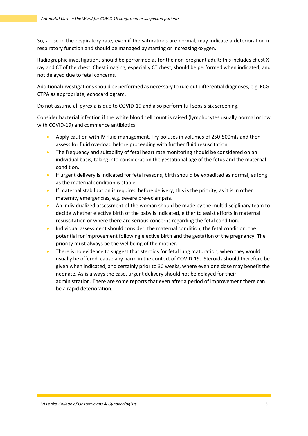So, a rise in the respiratory rate, even if the saturations are normal, may indicate a deterioration in respiratory function and should be managed by starting or increasing oxygen.

Radiographic investigations should be performed as for the non-pregnant adult; this includes chest Xray and CT of the chest. Chest imaging, especially CT chest, should be performed when indicated, and not delayed due to fetal concerns.

Additional investigations should be performed as necessary to rule out differential diagnoses, e.g. ECG, CTPA as appropriate, echocardiogram.

Do not assume all pyrexia is due to COVID-19 and also perform full sepsis-six screening.

Consider bacterial infection if the white blood cell count is raised (lymphocytes usually normal or low with COVID-19) and commence antibiotics.

- Apply caution with IV fluid management. Try boluses in volumes of 250-500mls and then assess for fluid overload before proceeding with further fluid resuscitation.
- The frequency and suitability of fetal heart rate monitoring should be considered on an individual basis, taking into consideration the gestational age of the fetus and the maternal condition.
- **If urgent delivery is indicated for fetal reasons, birth should be expedited as normal, as long** as the maternal condition is stable.
- If maternal stabilization is required before delivery, this is the priority, as it is in other maternity emergencies, e.g. severe pre-eclampsia.
- An individualized assessment of the woman should be made by the multidisciplinary team to decide whether elective birth of the baby is indicated, either to assist efforts in maternal resuscitation or where there are serious concerns regarding the fetal condition.
- Individual assessment should consider: the maternal condition, the fetal condition, the potential for improvement following elective birth and the gestation of the pregnancy. The priority must always be the wellbeing of the mother.
- There is no evidence to suggest that steroids for fetal lung maturation, when they would usually be offered, cause any harm in the context of COVID-19. Steroids should therefore be given when indicated, and certainly prior to 30 weeks, where even one dose may benefit the neonate. As is always the case, urgent delivery should not be delayed for their administration. There are some reports that even after a period of improvement there can be a rapid deterioration.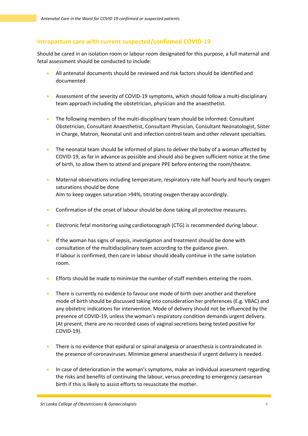#### **Intrapartum care with current suspected/confirmed COVID-19**

Should be cared in an isolation room or labour room designated for this purpose, a full maternal and fetal assessment should be conducted to include:

- All antenatal documents should be reviewed and risk factors should be identified and documented
- Assessment of the severity of COVID-19 symptoms, which should follow a multi-disciplinary team approach including the obstetrician, physician and the anaesthetist.
- The following members of the multi-disciplinary team should be informed: Consultant Obstetrician, Consultant Anaesthetist, Consultant Physician, Consultant Neonatologist, Sister in Charge, Matron, Neonatal unit and infection control team and other relevant specialties.
- The neonatal team should be informed of plans to deliver the baby of a woman affected by COVID-19, as far in advance as possible and should also be given sufficient notice at the time of birth, to allow them to attend and prepare PPE before entering the room/theatre.
- Maternal observations including temperature, respiratory rate half hourly and hourly oxygen saturations should be done Aim to keep oxygen saturation >94%, titrating oxygen therapy accordingly.
- Confirmation of the onset of labour should be done taking all protective measures.
- Electronic fetal monitoring using cardiotocograph (CTG) is recommended during labour.
- **If the woman has signs of sepsis, investigation and treatment should be done with** consultation of the multidisciplinary team according to the guidance given. If labour is confirmed, then care in labour should ideally continue in the same isolation room.
- Efforts should be made to minimize the number of staff members entering the room.
- There is currently no evidence to favour one mode of birth over another and therefore mode of birth should be discussed taking into consideration her preferences (E.g. VBAC) and any obstetric indications for intervention. Mode of delivery should not be influenced by the presence of COVID-19, unless the woman's respiratory condition demands urgent delivery. (At present, there are no recorded cases of vaginal secretions being tested positive for COVID-19).
- There is no evidence that epidural or spinal analgesia or anaesthesia is contraindicated in the presence of coronaviruses. Minimize general anaesthesia if urgent delivery is needed.
- In case of deterioration in the woman's symptoms, make an individual assessment regarding the risks and benefits of continuing the labour, versus preceding to emergency caesarean birth if this is likely to assist efforts to resuscitate the mother.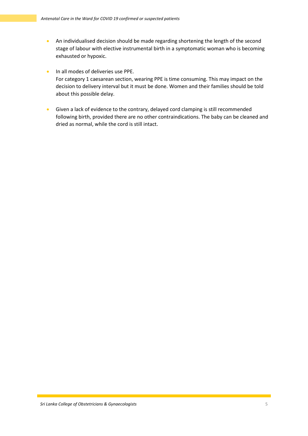- An individualised decision should be made regarding shortening the length of the second stage of labour with elective instrumental birth in a symptomatic woman who is becoming exhausted or hypoxic.
- **In all modes of deliveries use PPE.** For category 1 caesarean section, wearing PPE is time consuming. This may impact on the decision to delivery interval but it must be done. Women and their families should be told about this possible delay.
- Given a lack of evidence to the contrary, delayed cord clamping is still recommended following birth, provided there are no other contraindications. The baby can be cleaned and dried as normal, while the cord is still intact.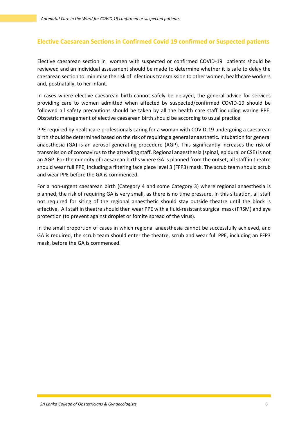# **Elective Caesarean Sections in Confirmed Covid 19 confirmed or Suspected patients**

Elective caesarean section in women with suspected or confirmed COVID-19 patients should be reviewed and an individual assessment should be made to determine whether it is safe to delay the caesarean section to minimise the risk of infectious transmission to other women, healthcare workers and, postnatally, to her infant.

In cases where elective caesarean birth cannot safely be delayed, the general advice for services providing care to women admitted when affected by suspected/confirmed COVID-19 should be followed all safety precautions should be taken by all the health care staff including waring PPE. Obstetric management of elective caesarean birth should be according to usual practice.

PPE required by healthcare professionals caring for a woman with COVID-19 undergoing a caesarean birth should be determined based on the risk of requiring a general anaesthetic. Intubation for general anaesthesia (GA) is an aerosol-generating procedure (AGP). This significantly increases the risk of transmission of coronavirus to the attending staff. Regional anaesthesia (spinal, epidural or CSE) is not an AGP. For the minority of caesarean births where GA is planned from the outset, all staff in theatre should wear full PPE, including a filtering face piece level 3 (FFP3) mask. The scrub team should scrub and wear PPE before the GA is commenced.

For a non-urgent caesarean birth (Category 4 and some Category 3) where regional anaesthesia is planned, the risk of requiring GA is very small, as there is no time pressure. In this situation, all staff not required for siting of the regional anaesthetic should stay outside theatre until the block is effective. All staff in theatre should then wear PPE with a fluid-resistant surgical mask (FRSM) and eye protection (to prevent against droplet or fomite spread of the virus).

In the small proportion of cases in which regional anaesthesia cannot be successfully achieved, and GA is required, the scrub team should enter the theatre, scrub and wear full PPE, including an FFP3 mask, before the GA is commenced.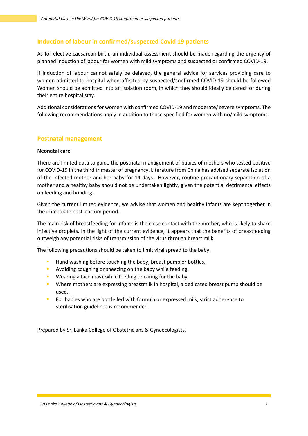## **Induction of labour in confirmed/suspected Covid 19 patients**

As for elective caesarean birth, an individual assessment should be made regarding the urgency of planned induction of labour for women with mild symptoms and suspected or confirmed COVID-19.

If induction of labour cannot safely be delayed, the general advice for services providing care to women admitted to hospital when affected by suspected/confirmed COVID-19 should be followed Women should be admitted into an isolation room, in which they should ideally be cared for during their entire hospital stay.

Additional considerations for women with confirmed COVID-19 and moderate/ severe symptoms. The following recommendations apply in addition to those specified for women with no/mild symptoms.

#### **Postnatal management**

#### **Neonatal care**

There are limited data to guide the postnatal management of babies of mothers who tested positive for COVID-19 in the third trimester of pregnancy. Literature from China has advised separate isolation of the infected mother and her baby for 14 days. However, routine precautionary separation of a mother and a healthy baby should not be undertaken lightly, given the potential detrimental effects on feeding and bonding.

Given the current limited evidence, we advise that women and healthy infants are kept together in the immediate post-partum period.

The main risk of breastfeeding for infants is the close contact with the mother, who is likely to share infective droplets. In the light of the current evidence, it appears that the benefits of breastfeeding outweigh any potential risks of transmission of the virus through breast milk.

The following precautions should be taken to limit viral spread to the baby:

- Hand washing before touching the baby, breast pump or bottles.
- **Avoiding coughing or sneezing on the baby while feeding.**
- **Wearing a face mask while feeding or caring for the baby.**
- **Where mothers are expressing breastmilk in hospital, a dedicated breast pump should be** used.
- For babies who are bottle fed with formula or expressed milk, strict adherence to sterilisation guidelines is recommended.

Prepared by Sri Lanka College of Obstetricians & Gynaecologists.